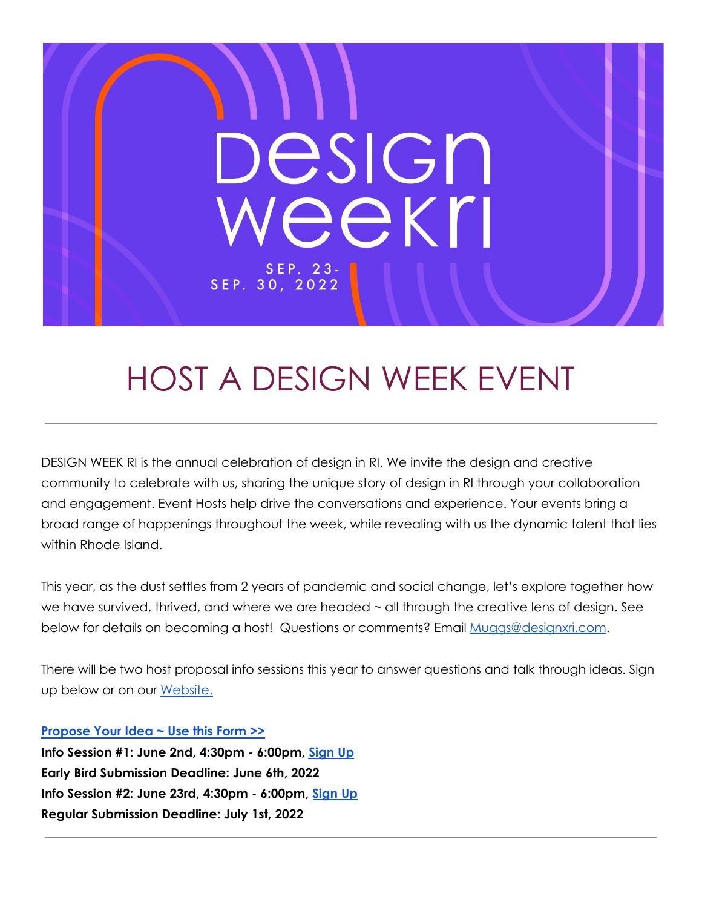

# HOST A DESIGN WEEK EVENT

DESIGN WEEK RI is the annual celebration of design in RI. We invite the design and creative community to celebrate with us, sharing the unique story of design in RI through your collaboration and engagement. Event Hosts help drive the conversations and experience. Your events bring a broad range of happenings throughout the week, while revealing with us the dynamic talent that lies within Rhode Island.

This year, as the dust settles from 2 years of pandemic and social change, let's explore together how we have survived, thrived, and where we are headed  $\sim$  all through the creative lens of design. See below for details on becoming a host! Questions or comments? Email [Muggs@designxri.com](mailto:Muggs@designxri.com).

There will be two host proposal info sessions this year to answer questions and talk through ideas. Sign up below or on our [Website.](https://www.designxri.com/community/#events-calendar)

#### **[Propose](https://forms.gle/GSTNqW8NnbA4Bpd37) Your Idea ~ Use this Form >>**

**Info Session #1: June 2nd, 4:30pm - 6:00pm, [Sign](https://designxri.app.neoncrm.com/np/clients/designxri/eventRegistration.jsp?event=304&) Up Early Bird Submission Deadline: June 6th, 2022 Info Session #2: June 23rd, 4:30pm - 6:00pm, [Sign](https://designxri.app.neoncrm.com/np/clients/designxri/eventRegistration.jsp?event=309&) Up Regular Submission Deadline: July 1st, 2022**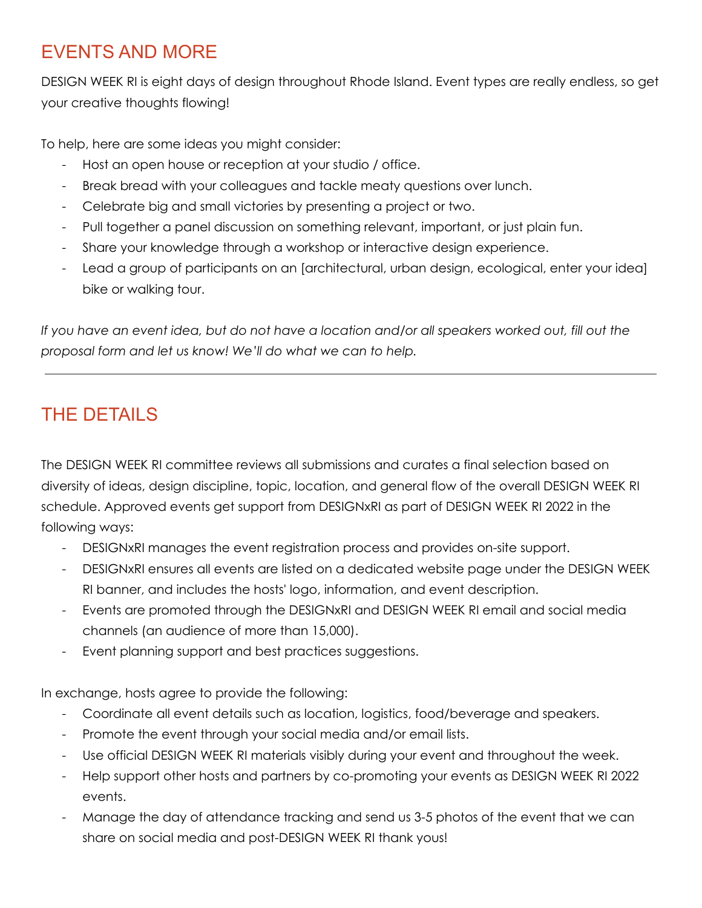## EVENTS AND MORE

DESIGN WEEK RI is eight days of design throughout Rhode Island. Event types are really endless, so get your creative thoughts flowing!

To help, here are some ideas you might consider:

- Host an open house or reception at your studio / office.
- Break bread with your colleagues and tackle meaty questions over lunch.
- Celebrate big and small victories by presenting a project or two.
- Pull together a panel discussion on something relevant, important, or just plain fun.
- Share your knowledge through a workshop or interactive design experience.
- Lead a group of participants on an [architectural, urban design, ecological, enter your idea] bike or walking tour.

If you have an event idea, but do not have a location and/or all speakers worked out, fill out the *proposal form and let us know! We'll do what we can to help.*

## THE DETAILS

The DESIGN WEEK RI committee reviews all submissions and curates a final selection based on diversity of ideas, design discipline, topic, location, and general flow of the overall DESIGN WEEK RI schedule. Approved events get support from DESIGNxRI as part of DESIGN WEEK RI 2022 in the following ways:

- DESIGNxRI manages the event registration process and provides on-site support.
- DESIGNxRI ensures all events are listed on a dedicated website page under the DESIGN WEEK RI banner, and includes the hosts' logo, information, and event description.
- Events are promoted through the DESIGNxRI and DESIGN WEEK RI email and social media channels (an audience of more than 15,000).
- Event planning support and best practices suggestions.

In exchange, hosts agree to provide the following:

- Coordinate all event details such as location, logistics, food/beverage and speakers.
- Promote the event through your social media and/or email lists.
- Use official DESIGN WEEK RI materials visibly during your event and throughout the week.
- Help support other hosts and partners by co-promoting your events as DESIGN WEEK RI 2022 events.
- Manage the day of attendance tracking and send us 3-5 photos of the event that we can share on social media and post-DESIGN WEEK RI thank yous!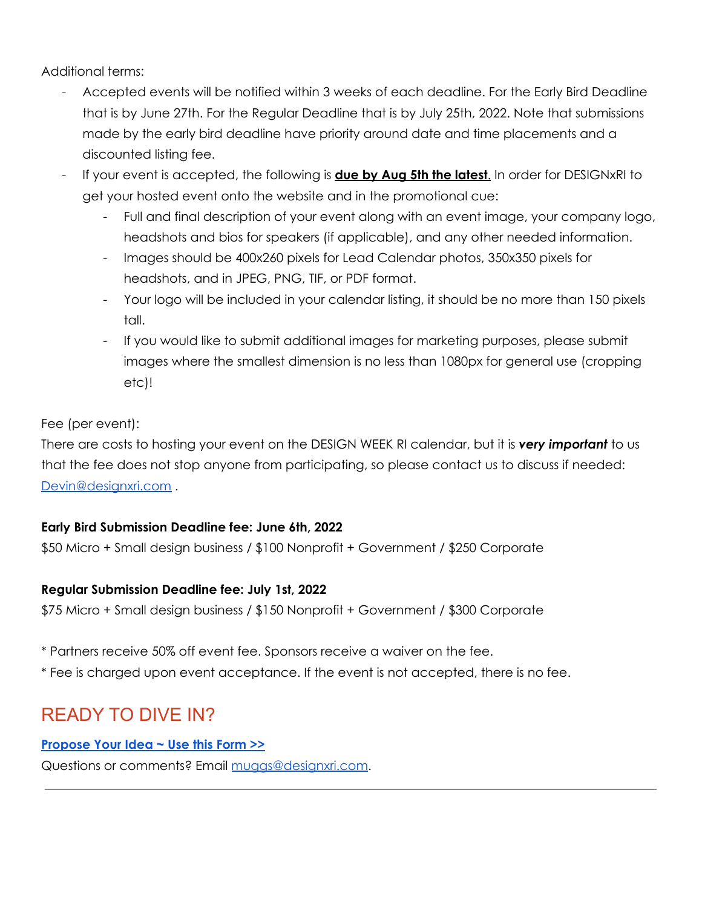Additional terms:

- Accepted events will be notified within 3 weeks of each deadline. For the Early Bird Deadline that is by June 27th. For the Regular Deadline that is by July 25th, 2022. Note that submissions made by the early bird deadline have priority around date and time placements and a discounted listing fee.
- If your event is accepted, the following is **due by Aug 5th the latest**. In order for DESIGNxRI to get your hosted event onto the website and in the promotional cue:
	- Full and final description of your event along with an event image, your company logo, headshots and bios for speakers (if applicable), and any other needed information.
	- Images should be 400x260 pixels for Lead Calendar photos, 350x350 pixels for headshots, and in JPEG, PNG, TIF, or PDF format.
	- Your logo will be included in your calendar listing, it should be no more than 150 pixels tall.
	- If you would like to submit additional images for marketing purposes, please submit images where the smallest dimension is no less than 1080px for general use (cropping etc)!

Fee (per event):

There are costs to hosting your event on the DESIGN WEEK RI calendar, but it is *very important* to us that the fee does not stop anyone from participating, so please contact us to discuss if needed: [Devin@designxri.com](mailto:Devin@designxri.com) .

#### **Early Bird Submission Deadline fee: June 6th, 2022**

\$50 Micro + Small design business / \$100 Nonprofit + Government / \$250 Corporate

#### **Regular Submission Deadline fee: July 1st, 2022**

\$75 Micro + Small design business / \$150 Nonprofit + Government / \$300 Corporate

#### \* Partners receive 50% off event fee. Sponsors receive a waiver on the fee.

\* Fee is charged upon event acceptance. If the event is not accepted, there is no fee.

### READY TO DIVE IN?

#### **[Propose](https://forms.gle/GSTNqW8NnbA4Bpd37) Your Idea ~ Use this Form >>**

Questions or comments? Email [muggs@designxri.com](mailto:muggs@designxri.com).